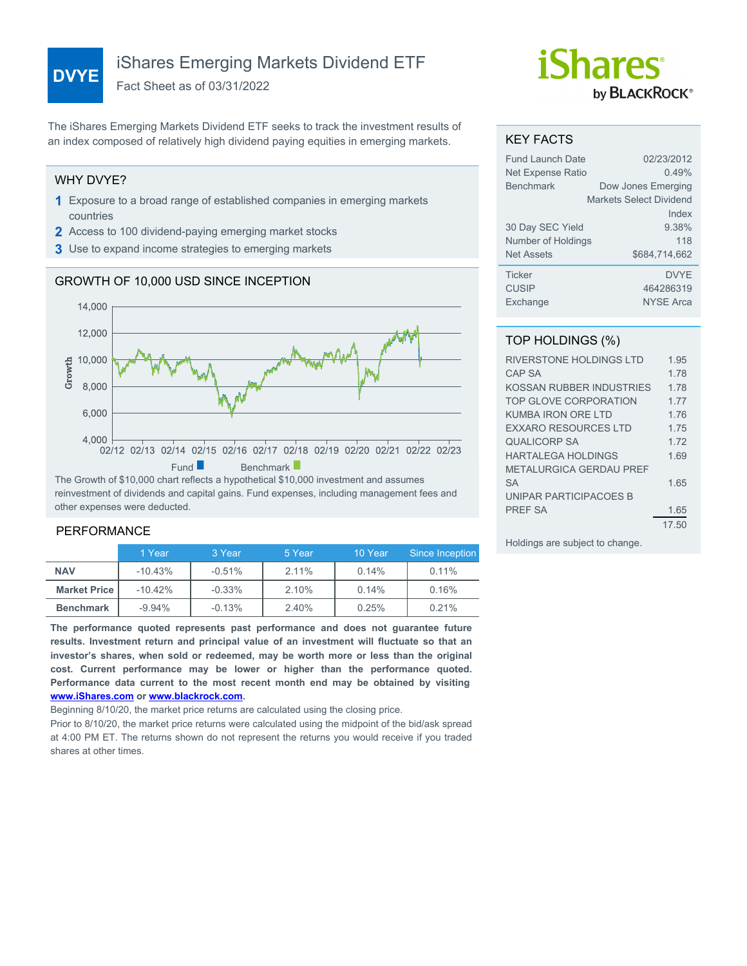# **DVYE** iShares Emerging Markets Dividend ETF

Fact Sheet as of 03/31/2022

The iShares Emerging Markets Dividend ETF seeks to track the investment results of an index composed of relatively high dividend paying equities in emerging markets.

#### WHY DVYE?

- **1** Exposure to a broad range of established companies in emerging markets countries
- **2** Access to 100 dividend-paying emerging market stocks
- **3** Use to expand income strategies to emerging markets

## GROWTH OF 10,000 USD SINCE INCEPTION



reinvestment of dividends and capital gains. Fund expenses, including management fees and other expenses were deducted.

#### PERFORMANCE

|                     | 1 Year    | 3 Year   | 5 Year | 10 Year | Since Inception |
|---------------------|-----------|----------|--------|---------|-----------------|
| <b>NAV</b>          | $-10.43%$ | $-0.51%$ | 2.11%  | 0.14%   | 0.11%           |
| <b>Market Price</b> | $-10.42%$ | $-0.33%$ | 2.10%  | 0.14%   | 0.16%           |
| <b>Benchmark</b>    | $-9.94\%$ | $-0.13%$ | 2.40%  | 0.25%   | 0.21%           |

**The performance quoted represents past performance and does not guarantee future results. Investment return and principal value of an investment will fluctuate so that an investor's shares, when sold or redeemed, may be worth more or less than the original cost. Current performance may be lower or higher than the performance quoted. Performance data current to the most recent month end may be obtained by visiting [www.iShares.com](http://www.iShares.com) or [www.blackrock.com](http://www.blackrock.com).**

Beginning 8/10/20, the market price returns are calculated using the closing price.

Prior to 8/10/20, the market price returns were calculated using the midpoint of the bid/ask spread at 4:00 PM ET. The returns shown do not represent the returns you would receive if you traded shares at other times.

# *iShares* by **BLACKROCK**®

#### KEY FACTS

| Fund Launch Date         | 02/23/2012              |
|--------------------------|-------------------------|
| <b>Net Expense Ratio</b> | 0.49%                   |
| <b>Benchmark</b>         | Dow Jones Emerging      |
|                          | Markets Select Dividend |
|                          | Index                   |
| 30 Day SEC Yield         | 9.38%                   |
| Number of Holdings       | 118                     |
| <b>Net Assets</b>        | \$684,714,662           |
| <b>Ticker</b>            | <b>DVYF</b>             |
| <b>CUSIP</b>             | 464286319               |
| Exchange                 | <b>NYSE Arca</b>        |

## TOP HOLDINGS (%)

| RIVERSTONE HOLDINGS LTD        | 1 95  |
|--------------------------------|-------|
| <b>CAP SA</b>                  | 1.78  |
| KOSSAN RUBBER INDUSTRIES       | 1 78  |
| TOP GLOVE CORPORATION          | 1 77  |
| KUMBA IRON ORE I TD            | 1 7 6 |
| <b>FXXARO RESOURCES LTD</b>    | 1 75  |
| <b>QUALICORP SA</b>            | 1 7 2 |
| <b>HARTALEGA HOLDINGS</b>      | 169   |
| <b>METALURGICA GERDAU PREF</b> |       |
| <b>SA</b>                      | 165   |
| UNIPAR PARTICIPACOES B         |       |
| <b>PREF SA</b>                 | 1.65  |
|                                | 17.50 |

Holdings are subject to change.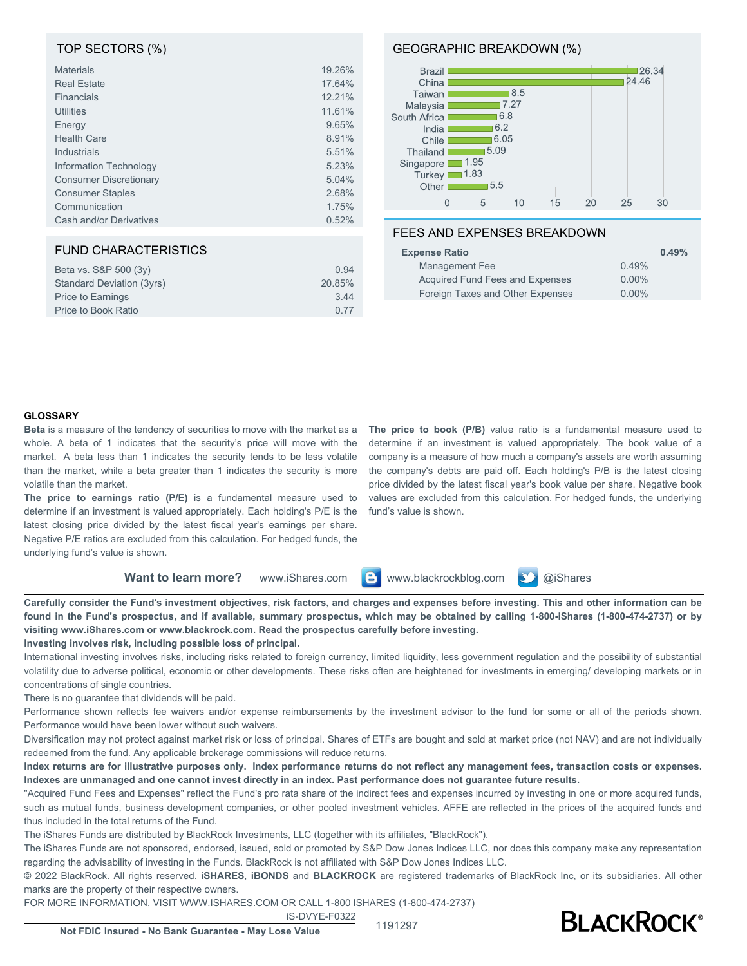#### TOP SECTORS (%)

| <b>Materials</b>              | 19.26% |
|-------------------------------|--------|
| <b>Real Estate</b>            | 17.64% |
| Financials                    | 12.21% |
| <b>Utilities</b>              | 11.61% |
| Energy                        | 9.65%  |
| <b>Health Care</b>            | 8.91%  |
| Industrials                   | 5.51%  |
| Information Technology        | 5.23%  |
| <b>Consumer Discretionary</b> | 5.04%  |
| <b>Consumer Staples</b>       | 2.68%  |
| Communication                 | 1.75%  |
| Cash and/or Derivatives       | 0.52%  |

#### FUND CHARACTERISTICS

| Beta vs. S&P 500 (3y)     | 0.94   |
|---------------------------|--------|
| Standard Deviation (3yrs) | 20.85% |
| Price to Earnings         | 3.44   |
| Price to Book Ratio       | 0.77   |

#### GEOGRAPHIC BREAKDOWN (%)



#### FEES AND EXPENSES BREAKDOWN

| <b>Expense Ratio</b>             | 0.49%    |
|----------------------------------|----------|
| Management Fee                   | 0.49%    |
| Acquired Fund Fees and Expenses  | $0.00\%$ |
| Foreign Taxes and Other Expenses | $0.00\%$ |

#### **GLOSSARY**

**Beta** is a measure of the tendency of securities to move with the market as a whole. A beta of 1 indicates that the security's price will move with the market. A beta less than 1 indicates the security tends to be less volatile than the market, while a beta greater than 1 indicates the security is more volatile than the market.

**The price to earnings ratio (P/E)** is a fundamental measure used to determine if an investment is valued appropriately. Each holding's P/E is the latest closing price divided by the latest fiscal year's earnings per share. Negative P/E ratios are excluded from this calculation. For hedged funds, the underlying fund's value is shown.

**The price to book (P/B)** value ratio is a fundamental measure used to determine if an investment is valued appropriately. The book value of a company is a measure of how much a company's assets are worth assuming the company's debts are paid off. Each holding's P/B is the latest closing price divided by the latest fiscal year's book value per share. Negative book values are excluded from this calculation. For hedged funds, the underlying fund's value is shown.

**Want to learn more?** www.iShares.com **B** www.blackrockblog.com **W** @iShares



**Carefully consider the Fund's investment objectives, risk factors, and charges and expenses before investing. This and other information can be found in the Fund's prospectus, and if available, summary prospectus, which may be obtained by calling 1-800-iShares (1-800-474-2737) or by visiting www.iShares.com or www.blackrock.com. Read the prospectus carefully before investing.**

**Investing involves risk, including possible loss of principal.**

International investing involves risks, including risks related to foreign currency, limited liquidity, less government regulation and the possibility of substantial volatility due to adverse political, economic or other developments. These risks often are heightened for investments in emerging/ developing markets or in concentrations of single countries.

There is no guarantee that dividends will be paid.

Performance shown reflects fee waivers and/or expense reimbursements by the investment advisor to the fund for some or all of the periods shown. Performance would have been lower without such waivers.

Diversification may not protect against market risk or loss of principal. Shares of ETFs are bought and sold at market price (not NAV) and are not individually redeemed from the fund. Any applicable brokerage commissions will reduce returns.

**Index returns are for illustrative purposes only. Index performance returns do not reflect any management fees, transaction costs or expenses. Indexes are unmanaged and one cannot invest directly in an index. Past performance does not guarantee future results.**

"Acquired Fund Fees and Expenses" reflect the Fund's pro rata share of the indirect fees and expenses incurred by investing in one or more acquired funds, such as mutual funds, business development companies, or other pooled investment vehicles. AFFE are reflected in the prices of the acquired funds and thus included in the total returns of the Fund.

The iShares Funds are distributed by BlackRock Investments, LLC (together with its affiliates, "BlackRock").

The iShares Funds are not sponsored, endorsed, issued, sold or promoted by S&P Dow Jones Indices LLC, nor does this company make any representation regarding the advisability of investing in the Funds. BlackRock is not affiliated with S&P Dow Jones Indices LLC.

© 2022 BlackRock. All rights reserved. **iSHARES**, **iBONDS** and **BLACKROCK** are registered trademarks of BlackRock Inc, or its subsidiaries. All other marks are the property of their respective owners.

FOR MORE INFORMATION, VISIT WWW.ISHARES.COM OR CALL 1-800 ISHARES (1-800-474-2737)

iS-DVYE-F0322



**Not FDIC Insured - No Bank Guarantee - May Lose Value** 1191297